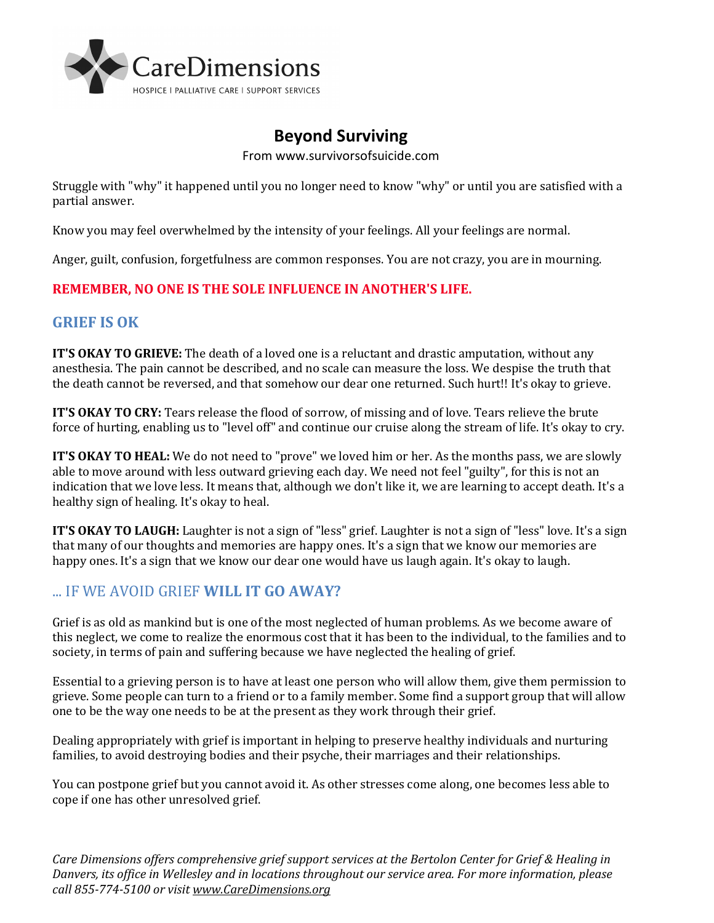

# **Beyond Surviving**

From www.survivorsofsuicide.com

Struggle with "why" it happened until you no longer need to know "why" or until you are satisfied with a partial answer.

Know you may feel overwhelmed by the intensity of your feelings. All your feelings are normal.

Anger, guilt, confusion, forgetfulness are common responses. You are not crazy, you are in mourning.

### **REMEMBER, NO ONE IS THE SOLE INFLUENCE IN ANOTHER'S LIFE.**

## **GRIEF IS OK**

**IT'S OKAY TO GRIEVE:** The death of a loved one is a reluctant and drastic amputation, without any anesthesia. The pain cannot be described, and no scale can measure the loss. We despise the truth that the death cannot be reversed, and that somehow our dear one returned. Such hurt!! It's okay to grieve.

**IT'S OKAY TO CRY:** Tears release the flood of sorrow, of missing and of love. Tears relieve the brute force of hurting, enabling us to "level off" and continue our cruise along the stream of life. It's okay to cry.

**IT'S OKAY TO HEAL:** We do not need to "prove" we loved him or her. As the months pass, we are slowly able to move around with less outward grieving each day. We need not feel "guilty", for this is not an indication that we love less. It means that, although we don't like it, we are learning to accept death. It's a healthy sign of healing. It's okay to heal.

**IT'S OKAY TO LAUGH:** Laughter is not a sign of "less" grief. Laughter is not a sign of "less" love. It's a sign that many of our thoughts and memories are happy ones. It's a sign that we know our memories are happy ones. It's a sign that we know our dear one would have us laugh again. It's okay to laugh.

## ... IF WE AVOID GRIEF **WILL IT GO AWAY?**

Grief is as old as mankind but is one of the most neglected of human problems. As we become aware of this neglect, we come to realize the enormous cost that it has been to the individual, to the families and to society, in terms of pain and suffering because we have neglected the healing of grief.

Essential to a grieving person is to have at least one person who will allow them, give them permission to grieve. Some people can turn to a friend or to a family member. Some find a support group that will allow one to be the way one needs to be at the present as they work through their grief.

Dealing appropriately with grief is important in helping to preserve healthy individuals and nurturing families, to avoid destroying bodies and their psyche, their marriages and their relationships.

You can postpone grief but you cannot avoid it. As other stresses come along, one becomes less able to cope if one has other unresolved grief.

*Care Dimensions offers comprehensive grief support services at the Bertolon Center for Grief & Healing in Danvers, its office in Wellesley and in locations throughout our service area. For more information, please call 855-774-5100 or visit [www.CareDimensions.org](http://www.caredimensions.org/)*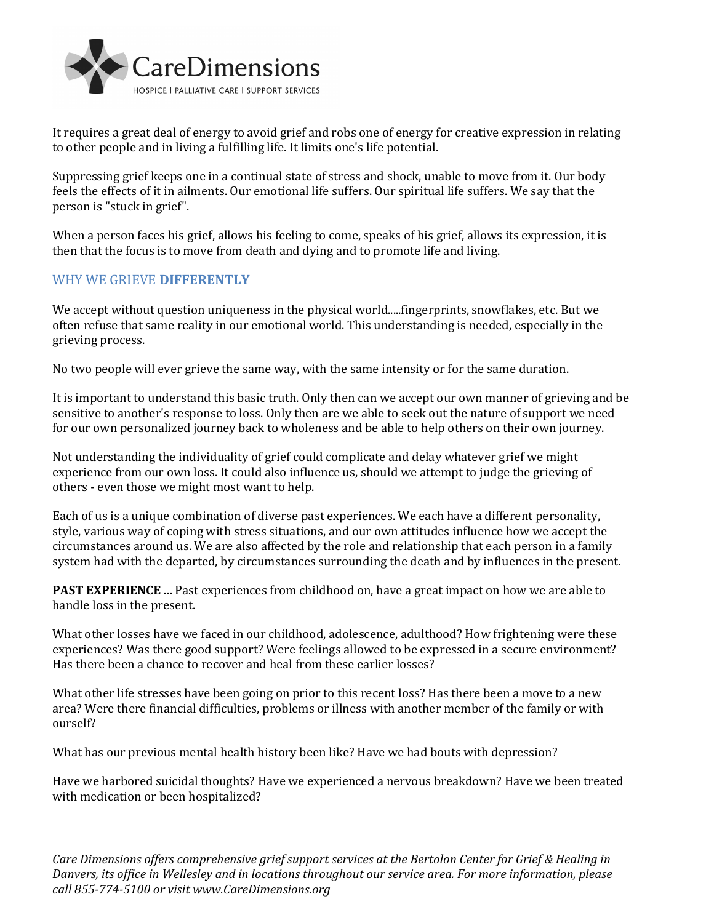

It requires a great deal of energy to avoid grief and robs one of energy for creative expression in relating to other people and in living a fulfilling life. It limits one's life potential.

Suppressing grief keeps one in a continual state of stress and shock, unable to move from it. Our body feels the effects of it in ailments. Our emotional life suffers. Our spiritual life suffers. We say that the person is "stuck in grief".

When a person faces his grief, allows his feeling to come, speaks of his grief, allows its expression, it is then that the focus is to move from death and dying and to promote life and living.

#### WHY WE GRIEVE **DIFFERENTLY**

We accept without question uniqueness in the physical world.....fingerprints, snowflakes, etc. But we often refuse that same reality in our emotional world. This understanding is needed, especially in the grieving process.

No two people will ever grieve the same way, with the same intensity or for the same duration.

It is important to understand this basic truth. Only then can we accept our own manner of grieving and be sensitive to another's response to loss. Only then are we able to seek out the nature of support we need for our own personalized journey back to wholeness and be able to help others on their own journey.

Not understanding the individuality of grief could complicate and delay whatever grief we might experience from our own loss. It could also influence us, should we attempt to judge the grieving of others - even those we might most want to help.

Each of us is a unique combination of diverse past experiences. We each have a different personality, style, various way of coping with stress situations, and our own attitudes influence how we accept the circumstances around us. We are also affected by the role and relationship that each person in a family system had with the departed, by circumstances surrounding the death and by influences in the present.

**PAST EXPERIENCE** ... Past experiences from childhood on, have a great impact on how we are able to handle loss in the present.

What other losses have we faced in our childhood, adolescence, adulthood? How frightening were these experiences? Was there good support? Were feelings allowed to be expressed in a secure environment? Has there been a chance to recover and heal from these earlier losses?

What other life stresses have been going on prior to this recent loss? Has there been a move to a new area? Were there financial difficulties, problems or illness with another member of the family or with ourself?

What has our previous mental health history been like? Have we had bouts with depression?

Have we harbored suicidal thoughts? Have we experienced a nervous breakdown? Have we been treated with medication or been hospitalized?

*Care Dimensions offers comprehensive grief support services at the Bertolon Center for Grief & Healing in Danvers, its office in Wellesley and in locations throughout our service area. For more information, please call 855-774-5100 or visit [www.CareDimensions.org](http://www.caredimensions.org/)*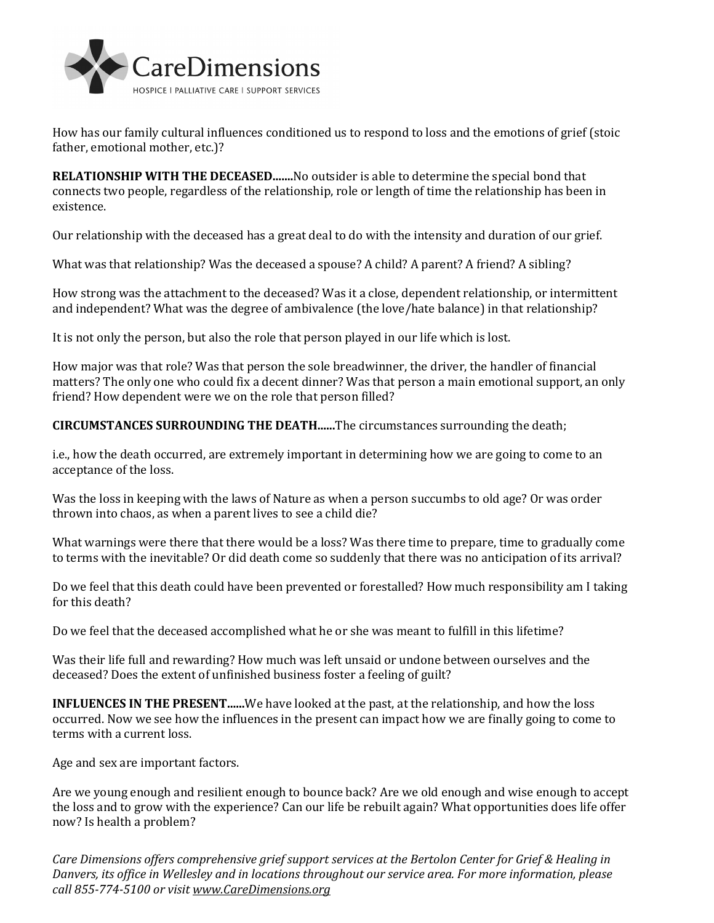

How has our family cultural influences conditioned us to respond to loss and the emotions of grief (stoic father, emotional mother, etc.)?

**RELATIONSHIP WITH THE DECEASED.......**No outsider is able to determine the special bond that connects two people, regardless of the relationship, role or length of time the relationship has been in existence.

Our relationship with the deceased has a great deal to do with the intensity and duration of our grief.

What was that relationship? Was the deceased a spouse? A child? A parent? A friend? A sibling?

How strong was the attachment to the deceased? Was it a close, dependent relationship, or intermittent and independent? What was the degree of ambivalence (the love/hate balance) in that relationship?

It is not only the person, but also the role that person played in our life which is lost.

How major was that role? Was that person the sole breadwinner, the driver, the handler of financial matters? The only one who could fix a decent dinner? Was that person a main emotional support, an only friend? How dependent were we on the role that person filled?

**CIRCUMSTANCES SURROUNDING THE DEATH......**The circumstances surrounding the death;

i.e., how the death occurred, are extremely important in determining how we are going to come to an acceptance of the loss.

Was the loss in keeping with the laws of Nature as when a person succumbs to old age? Or was order thrown into chaos, as when a parent lives to see a child die?

What warnings were there that there would be a loss? Was there time to prepare, time to gradually come to terms with the inevitable? Or did death come so suddenly that there was no anticipation of its arrival?

Do we feel that this death could have been prevented or forestalled? How much responsibility am I taking for this death?

Do we feel that the deceased accomplished what he or she was meant to fulfill in this lifetime?

Was their life full and rewarding? How much was left unsaid or undone between ourselves and the deceased? Does the extent of unfinished business foster a feeling of guilt?

**INFLUENCES IN THE PRESENT......**We have looked at the past, at the relationship, and how the loss occurred. Now we see how the influences in the present can impact how we are finally going to come to terms with a current loss.

Age and sex are important factors.

Are we young enough and resilient enough to bounce back? Are we old enough and wise enough to accept the loss and to grow with the experience? Can our life be rebuilt again? What opportunities does life offer now? Is health a problem?

*Care Dimensions offers comprehensive grief support services at the Bertolon Center for Grief & Healing in Danvers, its office in Wellesley and in locations throughout our service area. For more information, please call 855-774-5100 or visit [www.CareDimensions.org](http://www.caredimensions.org/)*